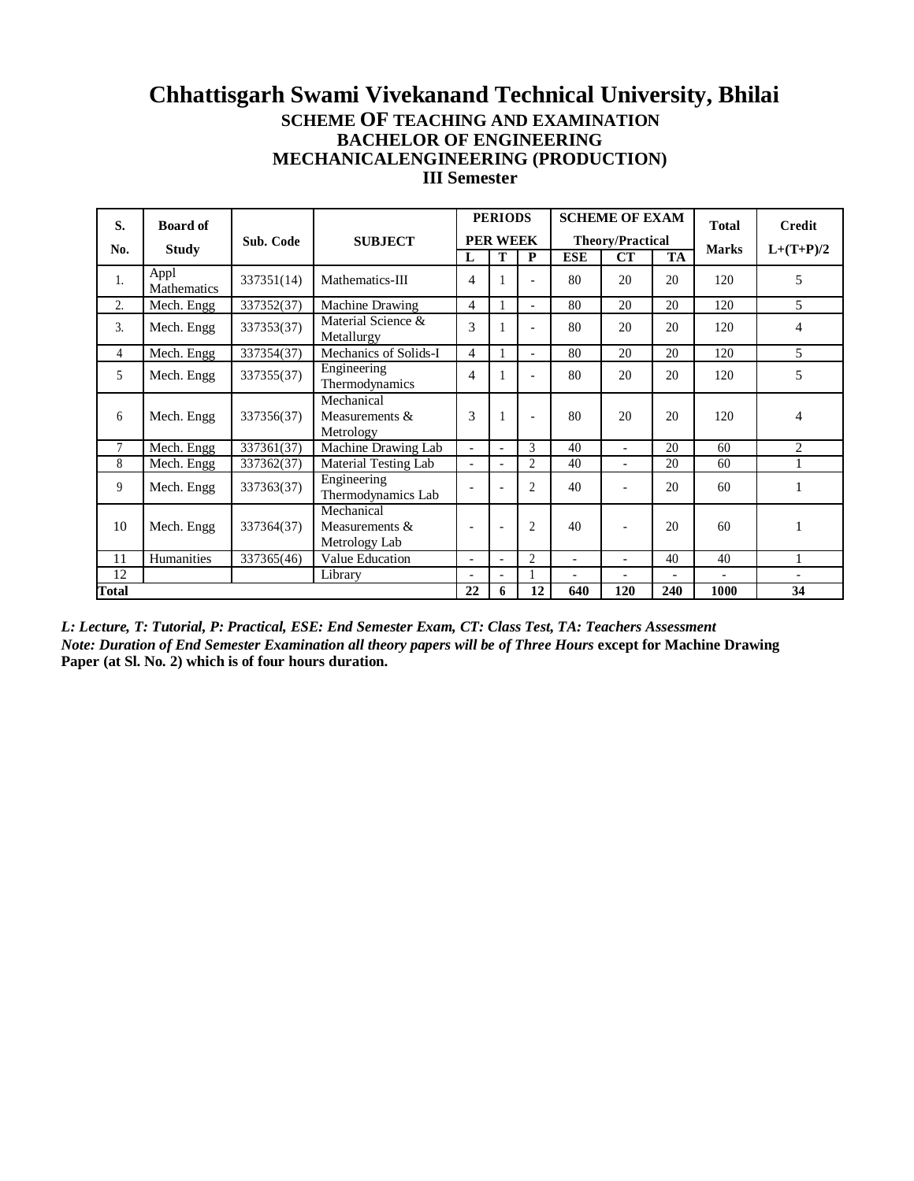### **Chhattisgarh Swami Vivekanand Technical University, Bhilai SCHEME OF TEACHING AND EXAMINATION BACHELOR OF ENGINEERING MECHANICALENGINEERING (PRODUCTION) III Semester**

| S.           | <b>Board of</b>                 |            |                                                  |                          | <b>PERIODS</b>           |                          |                          | <b>SCHEME OF EXAM</b>    |                          | <b>Total</b>             | <b>Credit</b>  |
|--------------|---------------------------------|------------|--------------------------------------------------|--------------------------|--------------------------|--------------------------|--------------------------|--------------------------|--------------------------|--------------------------|----------------|
| No.          | <b>Study</b>                    | Sub. Code  | <b>SUBJECT</b>                                   |                          | <b>PER WEEK</b>          |                          |                          | <b>Theory/Practical</b>  |                          | <b>Marks</b>             | $L+(T+P)/2$    |
|              |                                 |            |                                                  | L                        | T                        | P                        | <b>ESE</b>               | CT                       | <b>TA</b>                |                          |                |
| 1.           | Appl<br>Mathematics             | 337351(14) | Mathematics-III                                  | 4                        |                          |                          | 80                       | 20                       | 20                       | 120                      | 5              |
| 2.           | Mech. Engg                      | 337352(37) | Machine Drawing                                  | 4                        |                          | $\overline{\phantom{0}}$ | 80                       | 20                       | 20                       | 120                      | $\overline{5}$ |
| 3.           | Mech. Engg                      | 337353(37) | Material Science &<br>Metallurgy                 | 3                        |                          |                          | 80                       | 20                       | 20                       | 120                      | 4              |
| 4            | $\overline{\text{Mech}}$ . Engg | 337354(37) | Mechanics of Solids-I                            | 4                        |                          | $\overline{\phantom{0}}$ | 80                       | 20                       | 20                       | 120                      | 5              |
| 5            | Mech. Engg                      | 337355(37) | Engineering<br>Thermodynamics                    | 4                        |                          |                          | 80                       | 20                       | 20                       | 120                      | 5              |
| 6            | Mech. Engg                      | 337356(37) | Mechanical<br>Measurements &<br>Metrology        | 3                        |                          |                          | 80                       | 20                       | 20                       | 120                      | 4              |
| 7            | Mech. Engg                      | 337361(37) | Machine Drawing Lab                              | $\overline{a}$           | $\overline{\phantom{a}}$ | $\mathcal{E}$            | 40                       | $\overline{a}$           | 20                       | 60                       | $\overline{c}$ |
| 8            | Mech. Engg                      | 337362(37) | Material Testing Lab                             | $\overline{a}$           |                          | $\overline{c}$           | 40                       | $\overline{\phantom{0}}$ | 20                       | 60                       |                |
| 9            | Mech. Engg                      | 337363(37) | Engineering<br>Thermodynamics Lab                |                          |                          | $\overline{c}$           | 40                       |                          | 20                       | 60                       |                |
| 10           | Mech. Engg                      | 337364(37) | Mechanical<br>Measurements $\&$<br>Metrology Lab | $\overline{\phantom{a}}$ | $\overline{\phantom{a}}$ | $\overline{c}$           | 40                       |                          | 20                       | 60                       |                |
| 11           | Humanities                      | 337365(46) | Value Education                                  | $\overline{\phantom{a}}$ | $\overline{\phantom{a}}$ | $\overline{2}$           | $\overline{\phantom{0}}$ | $\overline{a}$           | 40                       | 40                       |                |
| 12           |                                 |            | Library                                          |                          |                          |                          | $\overline{\phantom{0}}$ | $\overline{a}$           | $\overline{\phantom{a}}$ | $\overline{\phantom{0}}$ |                |
| <b>Total</b> |                                 |            |                                                  | 22                       | 6                        | 12                       | 640                      | 120                      | 240                      | 1000                     | 34             |

*L: Lecture, T: Tutorial, P: Practical, ESE: End Semester Exam, CT: Class Test, TA: Teachers Assessment Note: Duration of End Semester Examination all theory papers will be of Three Hours except for Machine Drawing* **Paper (at Sl. No. 2) which is of four hours duration.**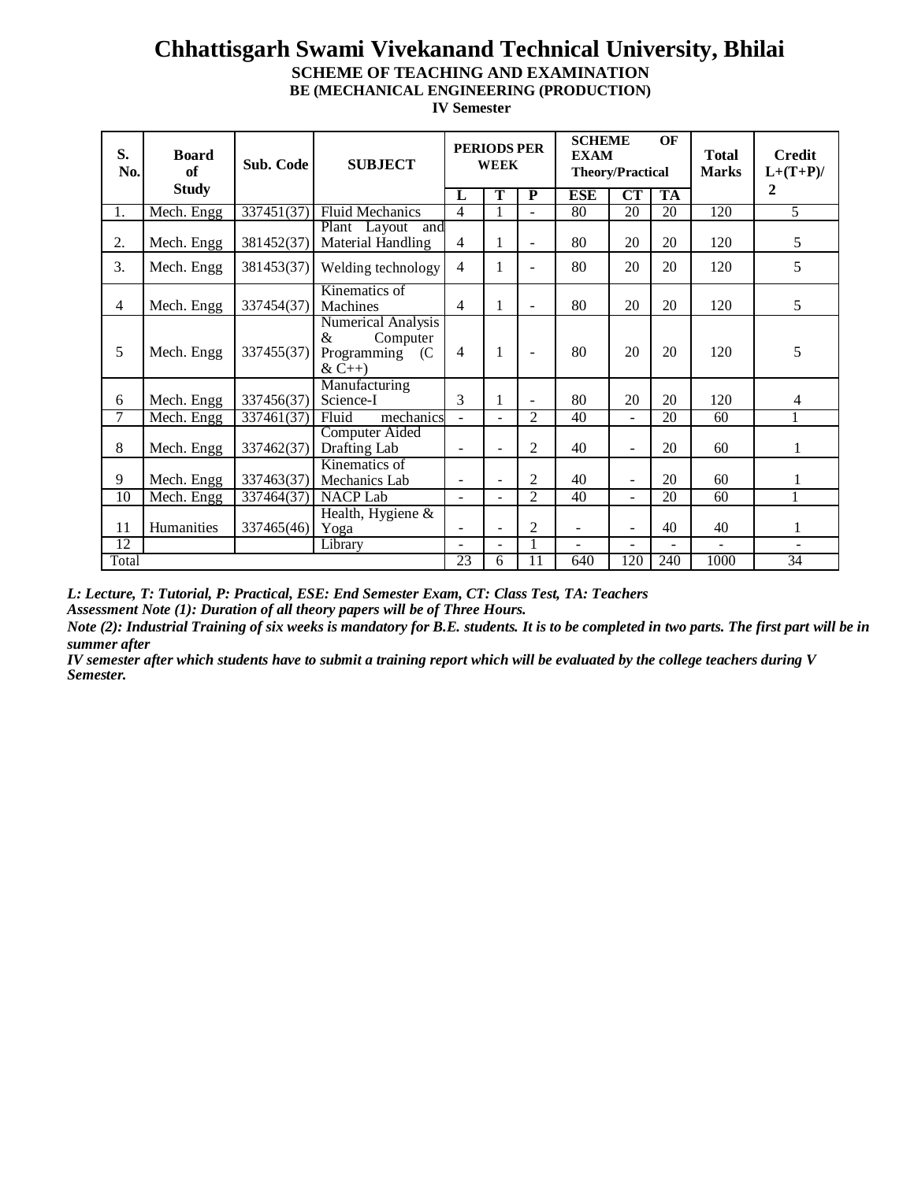**IV Semester**

| S.<br>No.       | <b>Board</b><br>of | Sub. Code  | <b>PERIODS PER</b><br><b>SUBJECT</b><br><b>WEEK</b>                       |                          |                          | <b>SCHEME</b><br><b>EXAM</b> | <b>Theory/Practical</b> | OF                       | <b>Total</b><br><b>Marks</b> | <b>Credit</b><br>$L+(T+P)/$ |                  |
|-----------------|--------------------|------------|---------------------------------------------------------------------------|--------------------------|--------------------------|------------------------------|-------------------------|--------------------------|------------------------------|-----------------------------|------------------|
|                 | <b>Study</b>       |            |                                                                           | L                        | T                        | $\mathbf P$                  | <b>ESE</b>              | CT                       | <b>TA</b>                    |                             | $\boldsymbol{2}$ |
| 1.              | Mech. Engg         | 337451(37) | <b>Fluid Mechanics</b>                                                    | 4                        | 1                        | ÷.                           | 80                      | 20                       | 20                           | 120                         | 5                |
| 2.              | Mech. Engg         | 381452(37) | Plant Layout and<br>Material Handling                                     | 4                        | 1                        |                              | 80                      | 20                       | 20                           | 120                         | 5                |
| 3.              | Mech. Engg         | 381453(37) | Welding technology                                                        | 4                        | 1                        |                              | 80                      | 20                       | 20                           | 120                         | 5                |
| $\overline{4}$  | Mech. Engg         | 337454(37) | Kinematics of<br>Machines                                                 | 4                        | 1                        | $\overline{a}$               | 80                      | 20                       | 20                           | 120                         | 5                |
| 5               | Mech. Engg         | 337455(37) | <b>Numerical Analysis</b><br>&<br>Computer<br>Programming (C<br>$&C_{++}$ | 4                        | 1                        | $\overline{\phantom{a}}$     | 80                      | 20                       | 20                           | 120                         | 5                |
| 6               | Mech. Engg         | 337456(37) | Manufacturing<br>Science-I                                                | 3                        | 1                        |                              | 80                      | 20                       | 20                           | 120                         | 4                |
| $\tau$          | Mech. Engg         | 337461(37) | mechanics<br>Fluid                                                        | $\overline{a}$           | $\sim$                   | $\mathfrak{D}$               | 40                      | $\overline{\phantom{a}}$ | 20                           | 60                          |                  |
| 8               | Mech. Engg         | 337462(37) | <b>Computer Aided</b><br>Drafting Lab                                     | $\overline{\phantom{a}}$ |                          | 2                            | 40                      |                          | 20                           | 60                          | 1                |
| 9               | Mech. Engg         | 337463(37) | Kinematics of<br>Mechanics Lab                                            | $\overline{\phantom{a}}$ | $\overline{\phantom{a}}$ | 2                            | 40                      | $\blacksquare$           | 20                           | 60                          |                  |
| $\overline{10}$ | Mech. Engg         | 337464(37) | <b>NACP</b> Lab                                                           | $\blacksquare$           |                          | $\overline{2}$               | 40                      |                          | 20                           | 60                          | 1                |
| 11              | <b>Humanities</b>  | 337465(46) | Health, Hygiene &<br>Yoga                                                 | $\overline{\phantom{a}}$ | $\overline{\phantom{a}}$ | 2                            | $\blacksquare$          | $\blacksquare$           | 40                           | 40                          |                  |
| 12              |                    |            | Library                                                                   | ÷.                       |                          |                              |                         |                          |                              |                             |                  |
| Total           |                    |            |                                                                           | 23                       | 6                        | 11                           | 640                     | 120                      | 240                          | 1000                        | 34               |

*L: Lecture, T: Tutorial, P: Practical, ESE: End Semester Exam, CT: Class Test, TA: Teachers* 

*Assessment Note (1): Duration of all theory papers will be of Three Hours.*

*Note (2): Industrial Training of six weeks is mandatory for B.E. students. It is to be completed in two parts. The first part will be in summer after*

*IV semester after which students have to submit a training report which will be evaluated by the college teachers during V Semester.*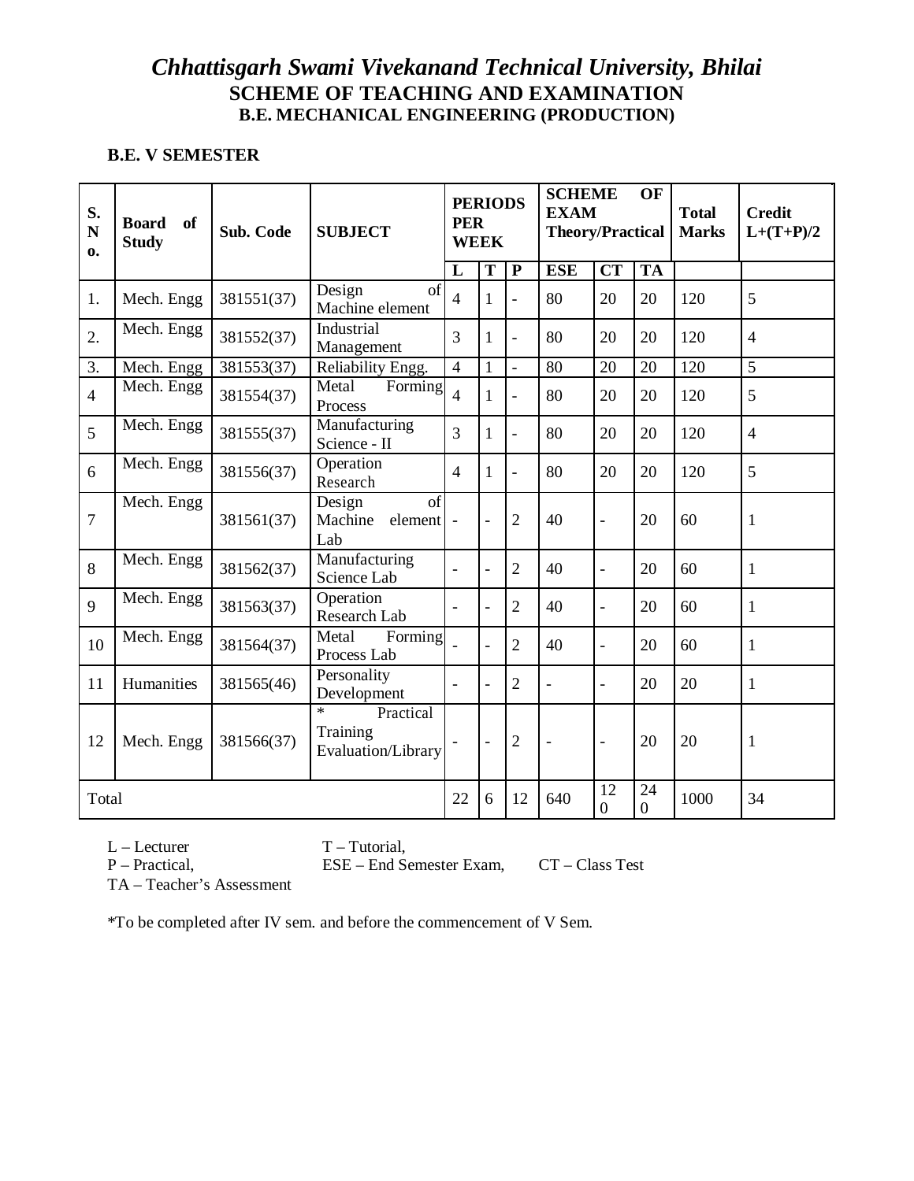#### **B.E. V SEMESTER**

| S.<br>N<br>$\mathbf{0}$ | <b>Board</b><br><b>of</b><br><b>Study</b> | Sub. Code  | <b>SUBJECT</b>                                         | <b>PERIODS</b><br><b>PER</b><br><b>WEEK</b> |                         | <b>SCHEME</b><br><b>EXAM</b><br><b>Theory/Practical</b> |                          | OF                       | <b>Total</b><br><b>Marks</b> | <b>Credit</b><br>$L+(T+P)/2$ |                |
|-------------------------|-------------------------------------------|------------|--------------------------------------------------------|---------------------------------------------|-------------------------|---------------------------------------------------------|--------------------------|--------------------------|------------------------------|------------------------------|----------------|
|                         |                                           |            |                                                        | L                                           | $\overline{\mathbf{T}}$ | $\mathbf{P}$                                            | <b>ESE</b>               | $\overline{\text{CT}}$   | <b>TA</b>                    |                              |                |
| 1.                      | Mech. Engg                                | 381551(37) | Design<br>of<br>Machine element                        | $\overline{4}$                              | 1                       | $\blacksquare$                                          | 80                       | 20                       | 20                           | 120                          | 5              |
| 2.                      | Mech. Engg                                | 381552(37) | Industrial<br>Management                               | 3                                           | 1                       | $\blacksquare$                                          | 80                       | 20                       | 20                           | 120                          | $\overline{4}$ |
| 3.                      | Mech. Engg                                | 381553(37) | Reliability Engg.                                      | $\overline{4}$                              | $\mathbf{1}$            | $\equiv$                                                | 80                       | 20                       | 20                           | 120                          | 5              |
| $\overline{4}$          | Mech. Engg                                | 381554(37) | Metal<br>Forming<br>Process                            | $\overline{4}$                              | 1                       | $\overline{a}$                                          | 80                       | 20                       | 20                           | 120                          | 5              |
| 5                       | Mech. Engg                                | 381555(37) | Manufacturing<br>Science - II                          | 3                                           | $\mathbf{1}$            | $\blacksquare$                                          | 80                       | 20                       | 20                           | 120                          | $\overline{4}$ |
| 6                       | Mech. Engg                                | 381556(37) | Operation<br>Research                                  | $\overline{4}$                              | 1                       | $\blacksquare$                                          | 80                       | 20                       | 20                           | 120                          | 5              |
| $\overline{7}$          | Mech. Engg                                | 381561(37) | Design<br>of<br>Machine<br>element<br>Lab              | $\overline{\phantom{a}}$                    | $\overline{a}$          | $\overline{2}$                                          | 40                       | $\overline{\phantom{0}}$ | 20                           | 60                           | 1              |
| 8                       | Mech. Engg                                | 381562(37) | Manufacturing<br>Science Lab                           |                                             | $\overline{a}$          | $\overline{2}$                                          | 40                       | $\overline{\phantom{0}}$ | 20                           | 60                           | 1              |
| 9                       | Mech. Engg                                | 381563(37) | Operation<br>Research Lab                              | $\overline{a}$                              | $\overline{a}$          | $\overline{2}$                                          | 40                       | $\overline{\phantom{0}}$ | 20                           | 60                           | $\mathbf{1}$   |
| 10                      | Mech. Engg                                | 381564(37) | Metal<br>Forming<br>Process Lab                        |                                             |                         | $\overline{2}$                                          | 40                       | $\overline{\phantom{0}}$ | 20                           | 60                           | 1              |
| 11                      | Humanities                                | 381565(46) | Personality<br>Development                             |                                             |                         | $\overline{2}$                                          | L,                       | $\overline{\phantom{a}}$ | 20                           | 20                           | 1              |
| 12                      | Mech. Engg                                | 381566(37) | $\star$<br>Practical<br>Training<br>Evaluation/Library |                                             | $\overline{a}$          | $\overline{2}$                                          | $\overline{\phantom{m}}$ | $\overline{\phantom{a}}$ | 20                           | 20                           | 1              |
|                         | Total                                     |            |                                                        | 22                                          | 6                       | 12                                                      | 640                      | 12<br>$\boldsymbol{0}$   | 24<br>$\boldsymbol{0}$       | 1000                         | 34             |

L – Lecturer T – Tutorial,<br>P – Practical, ESE – End Se

P – Practical, ESE – End Semester Exam, CT – Class Test

TA – Teacher's Assessment

\*To be completed after IV sem. and before the commencement of V Sem.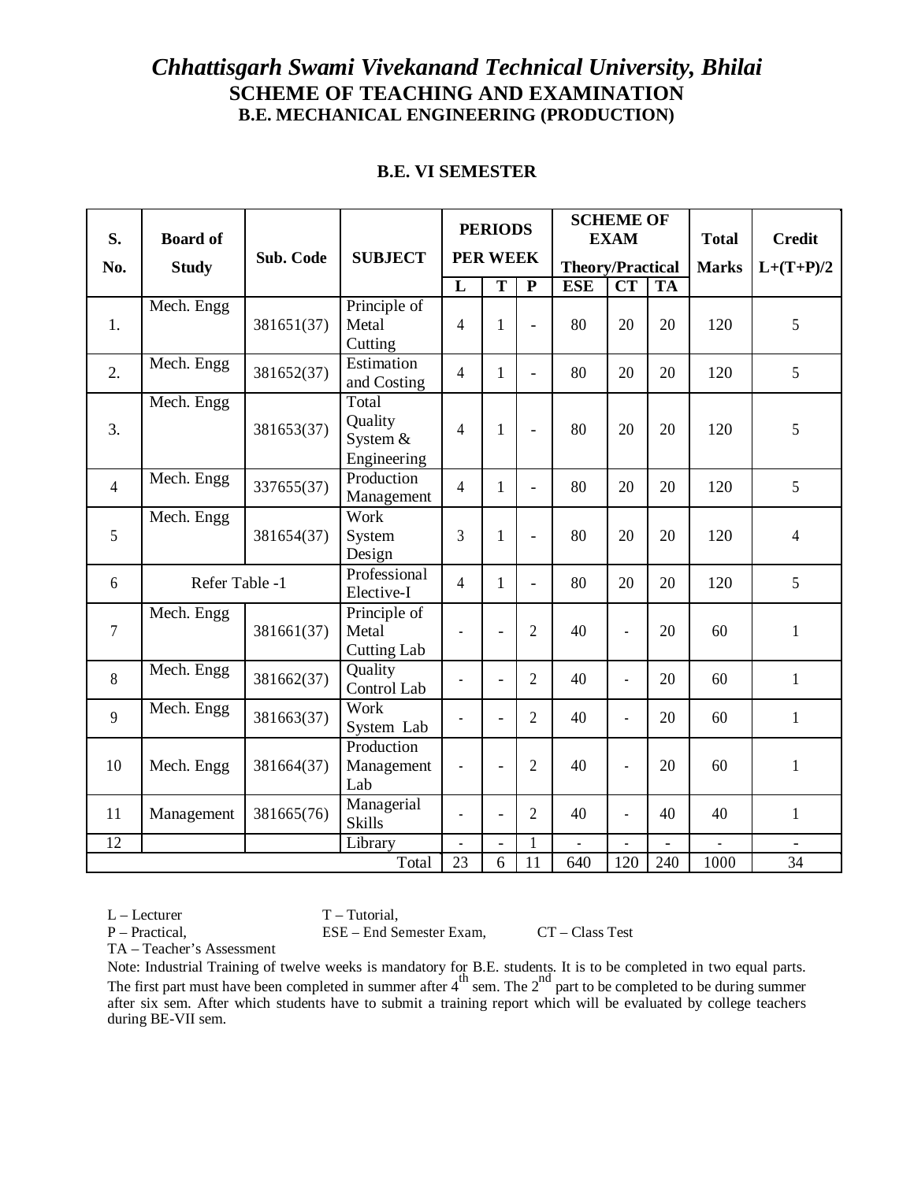#### **B.E. VI SEMESTER**

| S.              | <b>Board of</b> | Sub. Code  | <b>SUBJECT</b>                                |                          | <b>PERIODS</b><br><b>PER WEEK</b> |                          |                         | <b>SCHEME OF</b><br><b>EXAM</b> |                | <b>Total</b>             | <b>Credit</b>  |
|-----------------|-----------------|------------|-----------------------------------------------|--------------------------|-----------------------------------|--------------------------|-------------------------|---------------------------------|----------------|--------------------------|----------------|
| No.             | <b>Study</b>    |            |                                               |                          |                                   |                          | <b>Theory/Practical</b> |                                 |                | <b>Marks</b>             | $L+(T+P)/2$    |
|                 |                 |            |                                               | L                        | $\overline{\text{T}}$             | ${\bf P}$                | <b>ESE</b>              | $\overline{\text{CT}}$          | <b>TA</b>      |                          |                |
| 1.              | Mech. Engg      | 381651(37) | Principle of<br>Metal<br>Cutting              | 4                        | 1                                 | $\overline{a}$           | 80                      | 20                              | 20             | 120                      | 5              |
| 2.              | Mech. Engg      | 381652(37) | Estimation<br>and Costing                     | $\overline{4}$           | 1                                 | $\overline{a}$           | 80                      | 20                              | 20             | 120                      | 5              |
| 3.              | Mech. Engg      | 381653(37) | Total<br>Quality<br>System $&$<br>Engineering | $\overline{4}$           | $\mathbf{1}$                      | $\frac{1}{2}$            | 80                      | 20                              | 20             | 120                      | 5              |
| $\overline{4}$  | Mech. Engg      | 337655(37) | Production<br>Management                      | $\overline{4}$           | 1                                 | $\overline{\phantom{0}}$ | 80                      | 20                              | 20             | 120                      | 5              |
| 5               | Mech. Engg      | 381654(37) | Work<br>System<br>Design                      | 3                        | 1                                 | $\frac{1}{2}$            | 80                      | 20                              | 20             | 120                      | $\overline{4}$ |
| 6               | Refer Table -1  |            | Professional<br>Elective-I                    | $\overline{4}$           | $\mathbf{1}$                      | $\overline{a}$           | 80                      | 20                              | 20             | 120                      | 5              |
| 7               | Mech. Engg      | 381661(37) | Principle of<br>Metal<br><b>Cutting Lab</b>   |                          |                                   | $\overline{2}$           | 40                      | $\overline{a}$                  | 20             | 60                       | $\mathbf{1}$   |
| 8               | Mech. Engg      | 381662(37) | Quality<br>Control Lab                        | $\overline{a}$           | $\overline{\phantom{0}}$          | $\overline{2}$           | 40                      | $\overline{a}$                  | 20             | 60                       | 1              |
| 9               | Mech. Engg      | 381663(37) | Work<br>System Lab                            |                          | $\overline{a}$                    | $\overline{2}$           | 40                      | $\overline{a}$                  | 20             | 60                       | $\mathbf{1}$   |
| 10              | Mech. Engg      | 381664(37) | Production<br>Management<br>Lab               |                          |                                   | $\overline{2}$           | 40                      |                                 | 20             | 60                       | $\mathbf{1}$   |
| 11              | Management      | 381665(76) | Managerial<br><b>Skills</b>                   |                          | $\overline{a}$                    | $\overline{2}$           | 40                      |                                 | 40             | 40                       | $\mathbf{1}$   |
| $\overline{12}$ |                 |            | Library                                       | $\overline{\phantom{a}}$ | $\overline{a}$                    | $\mathbf{1}$             | $\overline{a}$          | $\overline{a}$                  | $\overline{a}$ | $\overline{\phantom{a}}$ | $\blacksquare$ |
|                 |                 |            | Total                                         | 23                       | 6                                 | 11                       | 640                     | 120                             | 240            | 1000                     | 34             |

 $L -$ Lecturer  $T -$ Tutorial,

P – Practical, ESE – End Semester Exam, CT – Class Test

TA – Teacher's Assessment

Note: Industrial Training of twelve weeks is mandatory for B.E. students. It is to be completed in two equal parts. The first part must have been completed in summer after  $4^{th}$  sem. The  $2^{nd}$  part to be completed to be during summer after six sem. After which students have to submit a training report which will be evaluated by college teachers during BE-VII sem.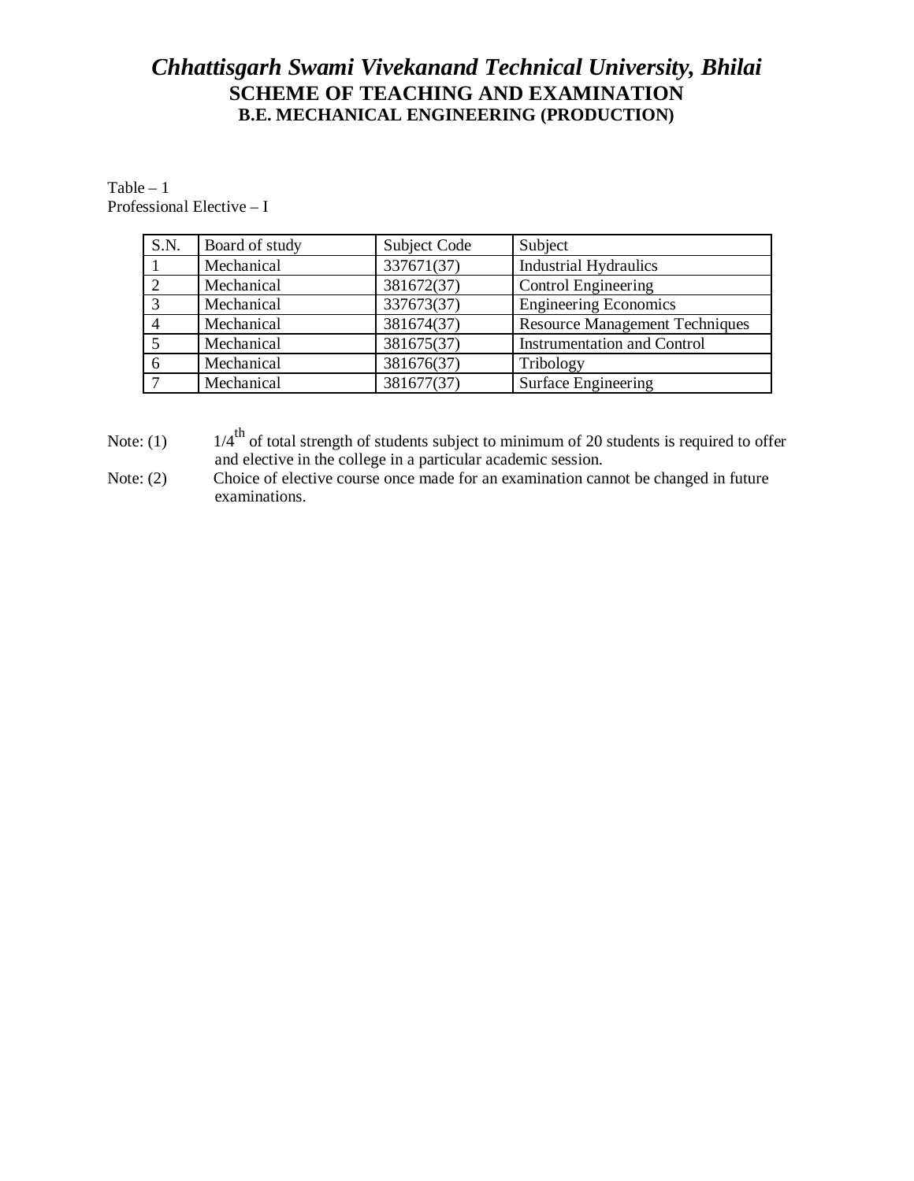Table – 1 Professional Elective – I

| S.N. | Board of study | Subject Code | Subject                               |
|------|----------------|--------------|---------------------------------------|
|      | Mechanical     | 337671(37)   | <b>Industrial Hydraulics</b>          |
|      | Mechanical     | 381672(37)   | Control Engineering                   |
|      | Mechanical     | 337673(37)   | <b>Engineering Economics</b>          |
|      | Mechanical     | 381674(37)   | <b>Resource Management Techniques</b> |
|      | Mechanical     | 381675(37)   | <b>Instrumentation and Control</b>    |
| 6    | Mechanical     | 381676(37)   | Tribology                             |
|      | Mechanical     | 381677(37)   | Surface Engineering                   |

Note: (1)  $1/4^{\text{th}}$  of total strength of students subject to minimum of 20 students is required to offer and elective in the college in a particular academic session.

Note: (2) Choice of elective course once made for an examination cannot be changed in future examinations.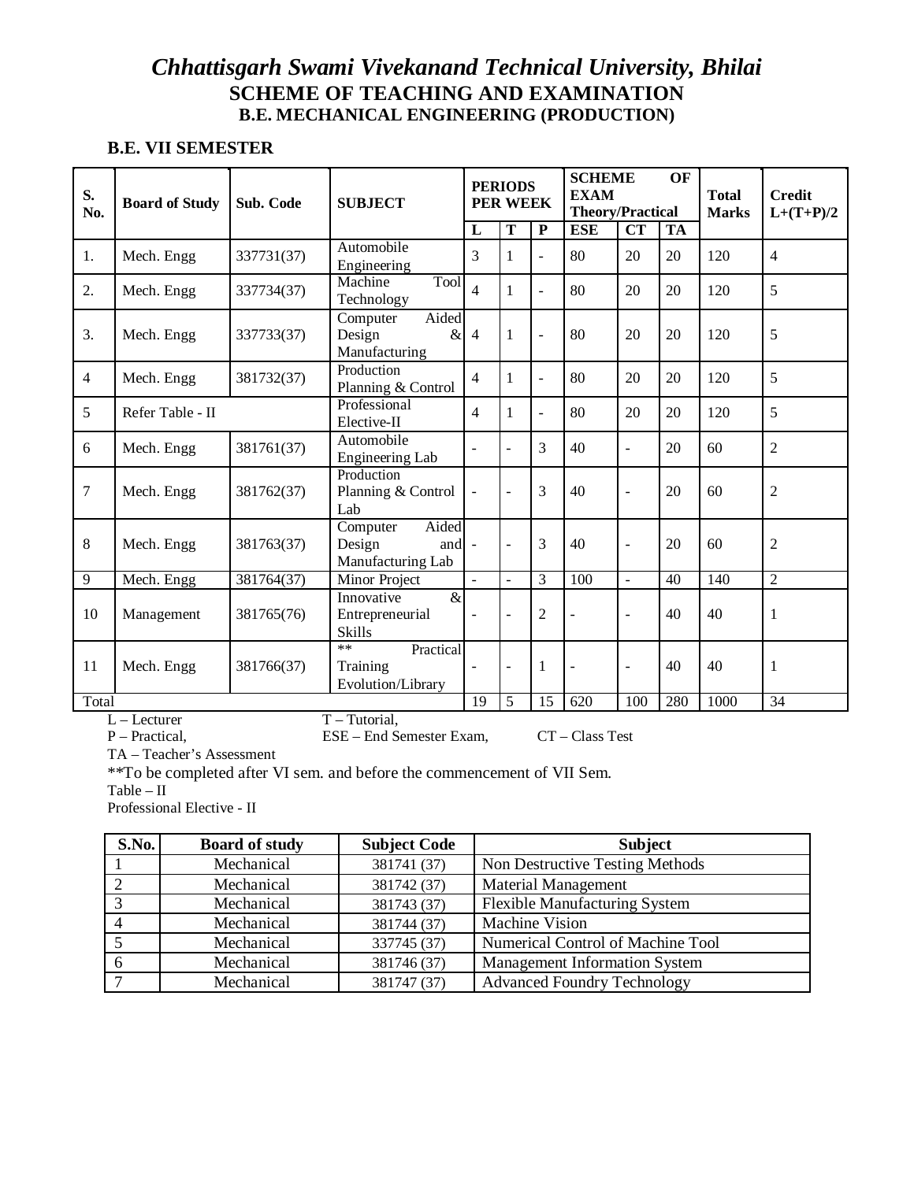#### **B.E. VII SEMESTER**

| S.<br>No.      | <b>Board of Study</b> | Sub. Code  | <b>SUBJECT</b>                                             |                          | <b>PERIODS</b><br><b>PER WEEK</b> |                         | <b>SCHEME</b><br><b>EXAM</b><br><b>Theory/Practical</b> |                          | OF        | <b>Total</b><br><b>Marks</b> | <b>Credit</b><br>$L+(T+P)/2$ |
|----------------|-----------------------|------------|------------------------------------------------------------|--------------------------|-----------------------------------|-------------------------|---------------------------------------------------------|--------------------------|-----------|------------------------------|------------------------------|
|                |                       |            |                                                            | $\overline{\mathbf{L}}$  | $\overline{\mathbf{T}}$           | $\overline{\mathbf{P}}$ | <b>ESE</b>                                              | $\overline{\text{CT}}$   | <b>TA</b> |                              |                              |
| 1.             | Mech. Engg            | 337731(37) | Automobile<br>Engineering                                  | 3                        | 1                                 | $\overline{a}$          | 80                                                      | 20                       | 20        | 120                          | $\overline{4}$               |
| 2.             | Mech. Engg            | 337734(37) | Tool<br>Machine<br>Technology                              | $\overline{4}$           | $\mathbf{1}$                      | $\overline{a}$          | 80                                                      | 20                       | 20        | 120                          | 5                            |
| 3.             | Mech. Engg            | 337733(37) | Aided<br>Computer<br>Design<br>&<br>Manufacturing          | $\overline{4}$           | $\mathbf{1}$                      | $\overline{a}$          | 80                                                      | 20                       | 20        | 120                          | 5                            |
| $\overline{4}$ | Mech. Engg            | 381732(37) | Production<br>Planning & Control                           | $\overline{4}$           | $\mathbf{1}$                      | $\overline{a}$          | 80                                                      | 20                       | 20        | 120                          | 5                            |
| 5              | Refer Table - II      |            | Professional<br>Elective-II                                | $\overline{\mathcal{L}}$ | $\mathbf{1}$                      | $\overline{a}$          | 80                                                      | 20                       | 20        | 120                          | 5                            |
| 6              | Mech. Engg            | 381761(37) | Automobile<br>Engineering Lab                              | $\overline{a}$           | $\overline{a}$                    | 3                       | 40                                                      | L,                       | 20        | 60                           | $\overline{2}$               |
| 7              | Mech. Engg            | 381762(37) | Production<br>Planning & Control<br>Lab                    |                          | $\sim$                            | 3                       | 40                                                      | $\overline{\phantom{a}}$ | 20        | 60                           | $\mathfrak{2}$               |
| 8              | Mech. Engg            | 381763(37) | Aided<br>Computer<br>Design<br>and<br>Manufacturing Lab    |                          | $\overline{a}$                    | 3                       | 40                                                      | $\overline{\phantom{a}}$ | 20        | 60                           | $\overline{2}$               |
| 9              | Mech. Engg            | 381764(37) | Minor Project                                              | $\blacksquare$           | $\overline{\phantom{a}}$          | 3                       | 100                                                     | ÷,                       | 40        | 140                          | $\overline{2}$               |
| 10             | Management            | 381765(76) | $\alpha$<br>Innovative<br>Entrepreneurial<br><b>Skills</b> | $\overline{\phantom{a}}$ | $\overline{a}$                    | $\overline{2}$          | L,                                                      | L,                       | 40        | 40                           | 1                            |
| 11             | Mech. Engg            | 381766(37) | $**$<br>Practical<br>Training<br>Evolution/Library         | $\overline{\phantom{a}}$ | $\sim$                            | 1                       |                                                         | L,                       | 40        | 40                           | 1                            |
|                | Total                 |            |                                                            |                          |                                   | 15                      | 620                                                     | 100                      | 280       | 1000                         | 34                           |
|                | $L$ – Lecturer        |            | $T - Tutorial,$                                            |                          |                                   |                         |                                                         |                          |           |                              |                              |

P – Practical, ESE – End Semester Exam, CT – Class Test

TA – Teacher's Assessment

\*\*To be completed after VI sem. and before the commencement of VII Sem.

Table – II

Professional Elective - II

| <b>S.No.</b> | <b>Board of study</b> | <b>Subject Code</b> | <b>Subject</b>                       |
|--------------|-----------------------|---------------------|--------------------------------------|
|              | Mechanical            | 381741 (37)         | Non Destructive Testing Methods      |
|              | Mechanical            | 381742 (37)         | <b>Material Management</b>           |
|              | Mechanical            | 381743 (37)         | <b>Flexible Manufacturing System</b> |
|              | Mechanical            | 381744 (37)         | <b>Machine Vision</b>                |
|              | Mechanical            | 337745 (37)         | Numerical Control of Machine Tool    |
|              | Mechanical            | 381746 (37)         | Management Information System        |
|              | Mechanical            | 381747 (37)         | <b>Advanced Foundry Technology</b>   |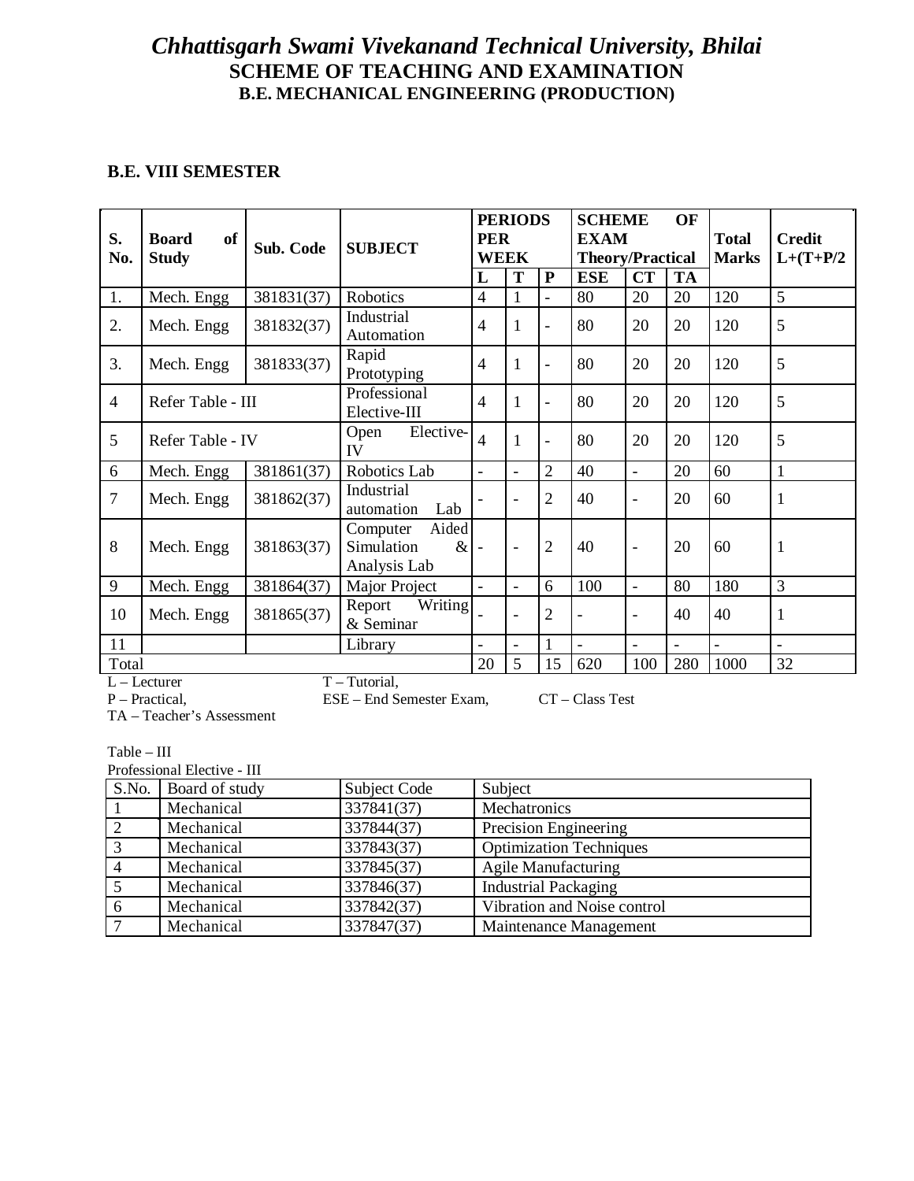### **B.E. VIII SEMESTER**

| S.<br>No.      | <b>of</b><br><b>Board</b><br><b>Study</b> | Sub. Code  | <b>SUBJECT</b>                                          | <b>PERIODS</b><br><b>PER</b><br><b>WEEK</b> |                          | <b>SCHEME</b><br><b>OF</b><br><b>EXAM</b><br><b>Theory/Practical</b> |                |                          | <b>Total</b><br><b>Marks</b> | <b>Credit</b><br>$L+(T+P/2)$ |              |
|----------------|-------------------------------------------|------------|---------------------------------------------------------|---------------------------------------------|--------------------------|----------------------------------------------------------------------|----------------|--------------------------|------------------------------|------------------------------|--------------|
|                |                                           |            |                                                         | L                                           | T                        | P                                                                    | <b>ESE</b>     | CT                       | <b>TA</b>                    |                              |              |
| 1.             | Mech. Engg                                | 381831(37) | Robotics                                                | $\overline{4}$                              | 1                        | $\overline{a}$                                                       | 80             | 20                       | 20                           | 120                          | 5            |
| 2.             | Mech. Engg                                | 381832(37) | Industrial<br>Automation                                | $\overline{4}$                              | 1                        | $\overline{\phantom{0}}$                                             | 80             | 20                       | 20                           | 120                          | 5            |
| 3.             | Mech. Engg                                | 381833(37) | Rapid<br>Prototyping                                    | $\overline{4}$                              | 1                        | $\overline{\phantom{a}}$                                             | 80             | 20                       | 20                           | 120                          | 5            |
| 4              | Refer Table - III                         |            | Professional<br>Elective-III                            | $\overline{4}$                              | $\mathbf{1}$             | $\overline{\phantom{a}}$                                             | 80             | 20                       | 20                           | 120                          | 5            |
| 5              | Refer Table - IV                          |            | Elective-<br>Open<br>IV                                 | $\overline{\mathcal{L}}$                    | 1                        | $\overline{a}$                                                       | 80             | 20                       | 20                           | 120                          | 5            |
| 6              | Mech. Engg                                | 381861(37) | Robotics Lab                                            | $\blacksquare$                              | $\overline{\phantom{a}}$ | $\overline{2}$                                                       | 40             | $\overline{\phantom{0}}$ | 20                           | 60                           | $\mathbf{1}$ |
| $\overline{7}$ | Mech. Engg                                | 381862(37) | Industrial<br>Lab<br>automation                         |                                             |                          | $\overline{2}$                                                       | 40             |                          | 20                           | 60                           | $\mathbf{1}$ |
| 8              | Mech. Engg                                | 381863(37) | Aided<br>Computer<br>Simulation<br>$\&$<br>Analysis Lab |                                             |                          | $\overline{2}$                                                       | 40             |                          | 20                           | 60                           | $\mathbf{1}$ |
| 9              | Mech. Engg                                | 381864(37) | Major Project                                           | $\blacksquare$                              |                          | 6                                                                    | 100            | $\overline{a}$           | 80                           | 180                          | 3            |
| 10             | Mech. Engg                                | 381865(37) | Writing<br>Report<br>& Seminar                          |                                             | $\overline{a}$           | $\overline{2}$                                                       | ٠              |                          | 40                           | 40                           | $\mathbf{1}$ |
| 11             | Library                                   |            | $\blacksquare$                                          |                                             | $\mathbf{1}$             | L,                                                                   | $\overline{a}$ | $\blacksquare$           | $\overline{a}$               |                              |              |
| Total          |                                           |            |                                                         | 20                                          | 5                        | 15                                                                   | 620            | 100                      | 280                          | 1000                         | 32           |

L – Lecturer T – Tutorial,<br>P – Practical, ESE – End Se

TA – Teacher's Assessment

Table – III

Professional Elective - III

|    | S.No. Board of study | <b>Subject Code</b> | Subject                        |
|----|----------------------|---------------------|--------------------------------|
|    | Mechanical           | 337841(37)          | Mechatronics                   |
|    | Mechanical           | 337844(37)          | Precision Engineering          |
|    | Mechanical           | 337843(37)          | <b>Optimization Techniques</b> |
|    | Mechanical           | 337845(37)          | <b>Agile Manufacturing</b>     |
|    | Mechanical           | 337846(37)          | <b>Industrial Packaging</b>    |
| -6 | Mechanical           | 337842(37)          | Vibration and Noise control    |
|    | Mechanical           | 337847(37)          | Maintenance Management         |

ESE – End Semester Exam, CT – Class Test